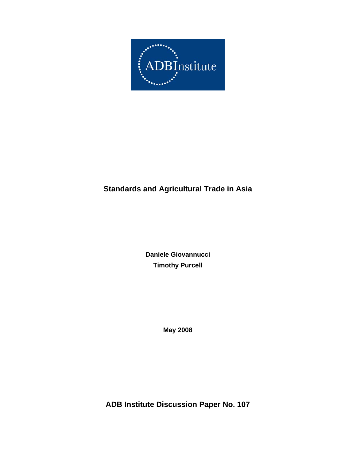

# **Standards and Agricultural Trade in Asia**

**Daniele Giovannucci Timothy Purcell** 

**May 2008**

**ADB Institute Discussion Paper No. 107**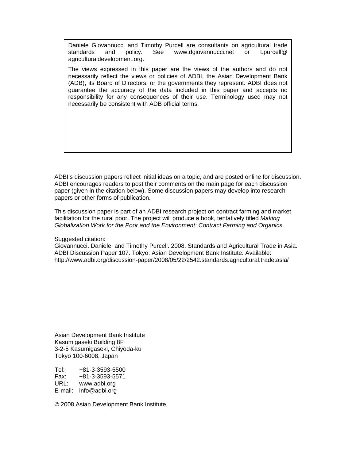Daniele Giovannucci and Timothy Purcell are consultants on agricultural trade standards and policy. See www.dgiovannucci.net or t.purcell@ agriculturaldevelopment.org.

The views expressed in this paper are the views of the authors and do not necessarily reflect the views or policies of ADBI, the Asian Development Bank (ADB), its Board of Directors, or the governments they represent. ADBI does not guarantee the accuracy of the data included in this paper and accepts no responsibility for any consequences of their use. Terminology used may not necessarily be consistent with ADB official terms.

ADBI's discussion papers reflect initial ideas on a topic, and are posted online for discussion. ADBI encourages readers to post their comments on the main page for each discussion paper (given in the citation below). Some discussion papers may develop into research papers or other forms of publication.

This discussion paper is part of an ADBI research project on contract farming and market facilitation for the rural poor. The project will produce a book, tentatively titled *Making Globalization Work for the Poor and the Environment: Contract Farming and Organics*.

Suggested citation:

Giovannucci. Daniele, and Timothy Purcell. 2008. Standards and Agricultural Trade in Asia. ADBI Discussion Paper 107. Tokyo: Asian Development Bank Institute. Available: http://www.adbi.org/discussion-paper/2008/05/22/2542.standards.agricultural.trade.asia/

Asian Development Bank Institute Kasumigaseki Building 8F 3-2-5 Kasumigaseki, Chiyoda-ku Tokyo 100-6008, Japan

Tel: +81-3-3593-5500 Fax: +81-3-3593-5571 www.adbi.org E-mail: info@adbi.org

© 2008 Asian Development Bank Institute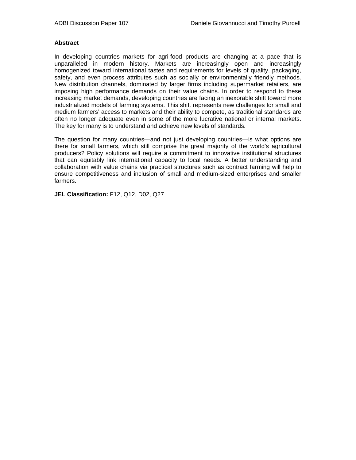#### **Abstract**

In developing countries markets for agri-food products are changing at a pace that is unparalleled in modern history. Markets are increasingly open and increasingly homogenized toward international tastes and requirements for levels of quality, packaging, safety, and even process attributes such as socially or environmentally friendly methods. New distribution channels, dominated by larger firms including supermarket retailers, are imposing high performance demands on their value chains. In order to respond to these increasing market demands, developing countries are facing an inexorable shift toward more industrialized models of farming systems. This shift represents new challenges for small and medium farmers' access to markets and their ability to compete, as traditional standards are often no longer adequate even in some of the more lucrative national or internal markets. The key for many is to understand and achieve new levels of standards.

The question for many countries—and not just developing countries—is what options are there for small farmers, which still comprise the great majority of the world's agricultural producers? Policy solutions will require a commitment to innovative institutional structures that can equitably link international capacity to local needs. A better understanding and collaboration with value chains via practical structures such as contract farming will help to ensure competitiveness and inclusion of small and medium-sized enterprises and smaller farmers.

**JEL Classification:** F12, Q12, D02, Q27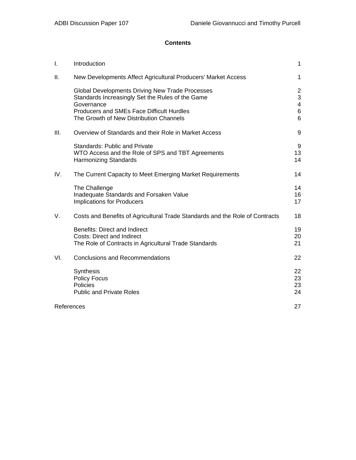# **Contents**

| I.   | Introduction                                                                                                                                                                                                            | $\mathbf{1}$                                    |
|------|-------------------------------------------------------------------------------------------------------------------------------------------------------------------------------------------------------------------------|-------------------------------------------------|
| Ш.   | New Developments Affect Agricultural Producers' Market Access                                                                                                                                                           | 1                                               |
|      | <b>Global Developments Driving New Trade Processes</b><br>Standards Increasingly Set the Rules of the Game<br>Governance<br><b>Producers and SMEs Face Difficult Hurdles</b><br>The Growth of New Distribution Channels | $\overline{2}$<br>3<br>$\overline{4}$<br>6<br>6 |
| III. | Overview of Standards and their Role in Market Access                                                                                                                                                                   | 9                                               |
|      | <b>Standards: Public and Private</b><br>WTO Access and the Role of SPS and TBT Agreements<br><b>Harmonizing Standards</b>                                                                                               | 9<br>13<br>14                                   |
| IV.  | The Current Capacity to Meet Emerging Market Requirements                                                                                                                                                               | 14                                              |
|      | The Challenge<br>Inadequate Standards and Forsaken Value<br><b>Implications for Producers</b>                                                                                                                           | 14<br>16<br>17                                  |
| V.   | Costs and Benefits of Agricultural Trade Standards and the Role of Contracts                                                                                                                                            | 18                                              |
|      | <b>Benefits: Direct and Indirect</b><br><b>Costs: Direct and Indirect</b><br>The Role of Contracts in Agricultural Trade Standards                                                                                      | 19<br>20<br>21                                  |
| VI.  | <b>Conclusions and Recommendations</b>                                                                                                                                                                                  | 22                                              |
|      | Synthesis<br><b>Policy Focus</b><br>Policies<br><b>Public and Private Roles</b>                                                                                                                                         | 22<br>23<br>23<br>24                            |
|      | References                                                                                                                                                                                                              | 27                                              |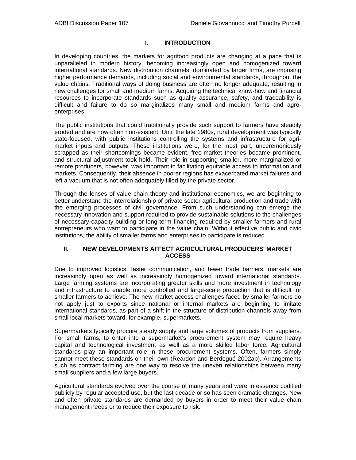## **I. INTRODUCTION**

In developing countries, the markets for agrifood products are changing at a pace that is unparalleled in modern history, becoming increasingly open and homogenized toward international standards. New distribution channels, dominated by larger firms, are imposing higher performance demands, including social and environmental standards, throughout the value chains. Traditional ways of doing business are often no longer adequate, resulting in new challenges for small and medium farms. Acquiring the technical know-how and financial resources to incorporate standards such as quality assurance, safety, and traceability is difficult and failure to do so marginalizes many small and medium farms and agroenterprises.

The public institutions that could traditionally provide such support to farmers have steadily eroded and are now often non-existent. Until the late 1980s, rural development was typically state-focused, with public institutions controlling the systems and infrastructure for agrimarket inputs and outputs. These institutions were, for the most part, unceremoniously scrapped as their shortcomings became evident, free-market theories became prominent, and structural adjustment took hold. Their role in supporting smaller, more marginalized or remote producers, however, was important in facilitating equitable access to information and markets. Consequently, their absence in poorer regions has exacerbated market failures and left a vacuum that is not often adequately filled by the private sector.

Through the lenses of value chain theory and institutional economics, we are beginning to better understand the interrelationship of private sector agricultural production and trade with the emerging processes of civil governance. From such understanding can emerge the necessary innovation and support required to provide sustainable solutions to the challenges of necessary capacity building or long-term financing required by smaller farmers and rural entrepreneurs who want to participate in the value chain. Without effective public and civic institutions, the ability of smaller farms and enterprises to participate is reduced.

## **II. NEW DEVELOPMENTS AFFECT AGRICULTURAL PRODUCERS' MARKET ACCESS**

Due to improved logistics, faster communication, and fewer trade barriers, markets are increasingly open as well as increasingly homogenized toward international standards. Large farming systems are incorporating greater skills and more investment in technology and infrastructure to enable more controlled and large-scale production that is difficult for smaller farmers to achieve. The new market access challenges faced by smaller farmers do not apply just to exports since national or internal markets are beginning to imitate international standards, as part of a shift in the structure of distribution channels away from small local markets toward, for example, supermarkets.

Supermarkets typically procure steady supply and large volumes of products from suppliers. For small farms, to enter into a supermarket's procurement system may require heavy capital and technological investment as well as a more skilled labor force. Agricultural standards play an important role in these procurement systems. Often, farmers simply cannot meet these standards on their own (Reardon and Berdegué 2002ab). Arrangements such as contract farming are one way to resolve the uneven relationships between many small suppliers and a few large buyers.

Agricultural standards evolved over the course of many years and were in essence codified publicly by regular accepted use, but the last decade or so has seen dramatic changes. New and often private standards are demanded by buyers in order to meet their value chain management needs or to reduce their exposure to risk.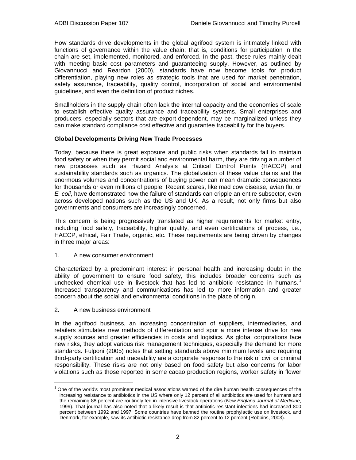How standards drive developments in the global agrifood system is intimately linked with functions of governance within the value chain; that is, conditions for participation in the chain are set, implemented, monitored, and enforced. In the past, these rules mainly dealt with meeting basic cost parameters and guaranteeing supply. However, as outlined by Giovannucci and Reardon (2000), standards have now become tools for product differentiation, playing new roles as strategic tools that are used for market penetration, safety assurance, traceability, quality control, incorporation of social and environmental guidelines, and even the definition of product niches.

Smallholders in the supply chain often lack the internal capacity and the economies of scale to establish effective quality assurance and traceability systems. Small enterprises and producers, especially sectors that are export-dependent, may be marginalized unless they can make standard compliance cost effective and guarantee traceability for the buyers.

## **Global Developments Driving New Trade Processes**

Today, because there is great exposure and public risks when standards fail to maintain food safety or when they permit social and environmental harm, they are driving a number of new processes such as Hazard Analysis at Critical Control Points (HACCP) and sustainability standards such as organics. The globalization of these value chains and the enormous volumes and concentrations of buying power can mean dramatic consequences for thousands or even millions of people. Recent scares, like mad cow disease, avian flu, or *E. coli*, have demonstrated how the failure of standards can cripple an entire subsector, even across developed nations such as the US and UK. As a result, not only firms but also governments and consumers are increasingly concerned.

This concern is being progressively translated as higher requirements for market entry, including food safety, traceability, higher quality, and even certifications of process, i.e., HACCP, ethical, Fair Trade, organic, etc. These requirements are being driven by changes in three major areas:

#### 1. A new consumer environment

Characterized by a predominant interest in personal health and increasing doubt in the ability of government to ensure food safety, this includes broader concerns such as unchecked chemical use in livestock that has led to antibiotic resistance in humans. <sup>1</sup> Increased transparency and communications has led to more information and greater concern about the social and environmental conditions in the place of origin.

2. A new business environment

 $\overline{a}$ 

In the agrifood business, an increasing concentration of suppliers, intermediaries, and retailers stimulates new methods of differentiation and spur a more intense drive for new supply sources and greater efficiencies in costs and logistics. As global corporations face new risks, they adopt various risk management techniques, especially the demand for more standards. Fulponi (2005) notes that setting standards above minimum levels and requiring third-party certification and traceability are a corporate response to the risk of civil or criminal responsibility. These risks are not only based on food safety but also concerns for labor violations such as those reported in some cacao production regions, worker safety in flower

<sup>&</sup>lt;sup>1</sup> One of the world's most prominent medical associations warned of the dire human health consequences of the increasing resistance to antibiotics in the US where only 12 percent of all antibiotics are used for humans and the remaining 88 percent are routinely fed in intensive livestock operations (*New England Journal of Medicine*, 1999). That journal has also noted that a likely result is that antibiotic-resistant infections had increased 800 percent between 1992 and 1997. Some countries have banned the routine prophylactic use on livestock, and Denmark, for example, saw its antibiotic resistance drop from 82 percent to 12 percent (Robbins, 2003).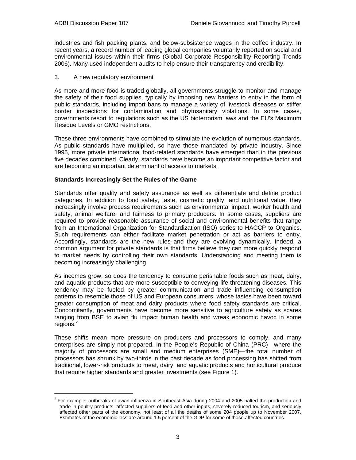l

industries and fish packing plants, and below-subsistence wages in the coffee industry. In recent years, a record number of leading global companies voluntarily reported on social and environmental issues within their firms (Global Corporate Responsibility Reporting Trends 2006). Many used independent audits to help ensure their transparency and credibility.

## 3. A new regulatory environment

As more and more food is traded globally, all governments struggle to monitor and manage the safety of their food supplies, typically by imposing new barriers to entry in the form of public standards, including import bans to manage a variety of livestock diseases or stiffer border inspections for contamination and phytosanitary violations. In some cases, governments resort to regulations such as the US bioterrorism laws and the EU's Maximum Residue Levels or GMO restrictions.

These three environments have combined to stimulate the evolution of numerous standards. As public standards have multiplied, so have those mandated by private industry. Since 1995, more private international food-related standards have emerged than in the previous five decades combined. Clearly, standards have become an important competitive factor and are becoming an important determinant of access to markets.

## **Standards Increasingly Set the Rules of the Game**

Standards offer quality and safety assurance as well as differentiate and define product categories. In addition to food safety, taste, cosmetic quality, and nutritional value, they increasingly involve process requirements such as environmental impact, worker health and safety, animal welfare, and fairness to primary producers. In some cases, suppliers are required to provide reasonable assurance of social and environmental benefits that range from an International Organization for Standardization (ISO) series to HACCP to Organics. Such requirements can either facilitate market penetration or act as barriers to entry. Accordingly, standards are the new rules and they are evolving dynamically. Indeed, a common argument for private standards is that firms believe they can more quickly respond to market needs by controlling their own standards. Understanding and meeting them is becoming increasingly challenging.

As incomes grow, so does the tendency to consume perishable foods such as meat, dairy, and aquatic products that are more susceptible to conveying life-threatening diseases. This tendency may be fueled by greater communication and trade influencing consumption patterns to resemble those of US and European consumers, whose tastes have been toward greater consumption of meat and dairy products where food safety standards are critical. Concomitantly, governments have become more sensitive to agriculture safety as scares ranging from BSE to avian flu impact human health and wreak economic havoc in some regions.<sup>2</sup>

These shifts mean more pressure on producers and processors to comply, and many enterprises are simply not prepared. In the People's Republic of China (PRC)—where the majority of processors are small and medium enterprises (SME)—the total number of processors has shrunk by two-thirds in the past decade as food processing has shifted from traditional, lower-risk products to meat, dairy, and aquatic products and horticultural produce that require higher standards and greater investments (see Figure 1).

 $2$  For example, outbreaks of avian influenza in Southeast Asia during 2004 and 2005 halted the production and trade in poultry products, affected suppliers of feed and other inputs, severely reduced tourism, and seriously affected other parts of the economy, not least of all the deaths of some 204 people up to November 2007. Estimates of the economic loss are around 1.5 percent of the GDP for some of those affected countries.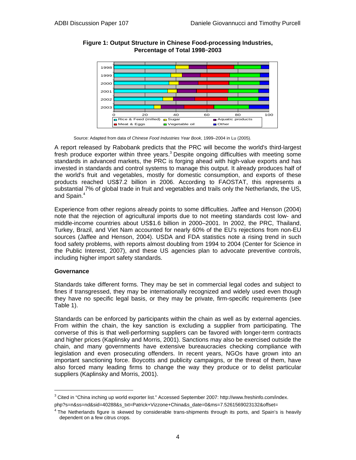

**Figure 1: Output Structure in Chinese Food-processing Industries, Percentage of Total 1998**–**2003** 

Source: Adapted from data of *Chinese Food Industries Year Book*, 1999–2004 in Lu (2005).

A report released by Rabobank predicts that the PRC will become the world's third-largest fresh produce exporter within three years.<sup>3</sup> Despite ongoing difficulties with meeting some standards in advanced markets, the PRC is forging ahead with high-value exports and has invested in standards and control systems to manage this output. It already produces half of the world's fruit and vegetables, mostly for domestic consumption, and exports of these products reached US\$7.2 billion in 2006. According to FAOSTAT, this represents a substantial 7% of global trade in fruit and vegetables and trails only the Netherlands, the US, and Spain. $4$ 

Experience from other regions already points to some difficulties. Jaffee and Henson (2004) note that the rejection of agricultural imports due to not meeting standards cost low- and middle-income countries about US\$1.6 billion in 2000–2001. In 2002, the PRC, Thailand, Turkey, Brazil, and Viet Nam accounted for nearly 60% of the EU's rejections from non-EU sources (Jaffee and Henson, 2004). USDA and FDA statistics note a rising trend in such food safety problems, with reports almost doubling from 1994 to 2004 (Center for Science in the Public Interest, 2007), and these US agencies plan to advocate preventive controls, including higher import safety standards.

#### **Governance**

l

Standards take different forms. They may be set in commercial legal codes and subject to fines if transgressed, they may be internationally recognized and widely used even though they have no specific legal basis, or they may be private, firm-specific requirements (see Table 1).

Standards can be enforced by participants within the chain as well as by external agencies. From within the chain, the key sanction is excluding a supplier from participating. The converse of this is that well-performing suppliers can be favored with longer-term contracts and higher prices (Kaplinsky and Morris, 2001). Sanctions may also be exercised outside the chain, and many governments have extensive bureaucracies checking compliance with legislation and even prosecuting offenders. In recent years, NGOs have grown into an important sanctioning force. Boycotts and publicity campaigns, or the threat of them, have also forced many leading firms to change the way they produce or to delist particular suppliers (Kaplinsky and Morris, 2001).

 $3$  Cited in "China inching up world exporter list." Accessed September 2007: http://www.freshinfo.com/index. php?s=n&ss=nd&sid=40288&s\_txt=Patrick+Vizzone+China&s\_date=0&ms=7.5261569023132&offset=

<sup>4</sup> The Netherlands figure is skewed by considerable trans-shipments through its ports, and Spain's is heavily dependent on a few citrus crops.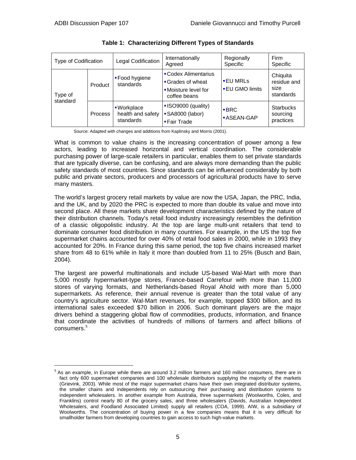$\overline{a}$ 

| <b>Type of Codification</b> |                | Legal Codification                           | Internationally<br>Agreed                                                       | Regionally<br>Specific                 | Firm<br>Specific                             |
|-----------------------------|----------------|----------------------------------------------|---------------------------------------------------------------------------------|----------------------------------------|----------------------------------------------|
| Type of<br>standard         | Product        | ■ Food hygiene<br>standards                  | • Codex Alimentarius<br>Grades of wheat<br>• Moisture level for<br>coffee beans | <b>EU MRLs</b><br><b>EU GMO limits</b> | Chiquita<br>residue and<br>size<br>standards |
|                             | <b>Process</b> | -Workplace<br>health and safety<br>standards | ISO9000 (quality)<br>• SA8000 (labor)<br><b>Fair Trade</b>                      | $-BRC$<br><b>-ASEAN-GAP</b>            | <b>Starbucks</b><br>sourcing<br>practices    |

|  | Table 1: Characterizing Different Types of Standards |  |  |  |
|--|------------------------------------------------------|--|--|--|
|--|------------------------------------------------------|--|--|--|

Source: Adapted with changes and additions from Kaplinsky and Morris (2001).

What is common to value chains is the increasing concentration of power among a few actors, leading to increased horizontal and vertical coordination. The considerable purchasing power of large-scale retailers in particular, enables them to set private standards that are typically diverse, can be confusing, and are always more demanding than the public safety standards of most countries. Since standards can be influenced considerably by both public and private sectors, producers and processors of agricultural products have to serve many masters.

The world's largest grocery retail markets by value are now the USA, Japan, the PRC, India, and the UK, and by 2020 the PRC is expected to more than double its value and move into second place. All these markets share development characteristics defined by the nature of their distribution channels. Today's retail food industry increasingly resembles the definition of a classic oligopolistic industry. At the top are large multi-unit retailers that tend to dominate consumer food distribution in many countries. For example, in the US the top five supermarket chains accounted for over 40% of retail food sales in 2000, while in 1993 they accounted for 20%. In France during this same period, the top five chains increased market share from 48 to 61% while in Italy it more than doubled from 11 to 25% (Busch and Bain, 2004).

The largest are powerful multinationals and include US-based Wal-Mart with more than 5,000 mostly hypermarket-type stores, France-based Carrefour with more than 11,000 stores of varying formats, and Netherlands-based Royal Ahold with more than 5,000 supermarkets. As reference, their annual revenue is greater than the total value of any country's agriculture sector. Wal-Mart revenues, for example, topped \$300 billion, and its international sales exceeded \$70 billion in 2006. Such dominant players are the major drivers behind a staggering global flow of commodities, products, information, and finance that coordinate the activities of hundreds of millions of farmers and affect billions of consumers.<sup>5</sup>

<sup>&</sup>lt;sup>5</sup> As an example, in Europe while there are around 3.2 million farmers and 160 million consumers, there are in fact only 600 supermarket companies and 100 wholesale distributors supplying the majority of the markets (Grievink, 2003). While most of the major supermarket chains have their own integrated distributor systems, the smaller chains and independents rely on outsourcing their purchasing and distribution systems to independent wholesalers. In another example from Australia, three supermarkets (Woolworths, Coles, and Franklins) control nearly 80 of the grocery sales, and three wholesalers (Davids, Australian Independent Wholesalers, and Foodland Associated Limited) supply all retailers (COA, 1999). AIW, is a subsidiary of Woolworths. The concentration of buying power in a few companies means that it is very difficult for smallholder farmers from developing countries to gain access to such high-value markets.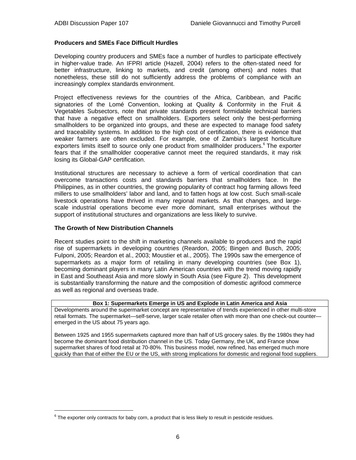## **Producers and SMEs Face Difficult Hurdles**

Developing country producers and SMEs face a number of hurdles to participate effectively in higher-value trade. An IFPRI article (Hazell, 2004) refers to the often-stated need for better infrastructure, linking to markets, and credit (among others) and notes that nonetheless, these still do not sufficiently address the problems of compliance with an increasingly complex standards environment.

Project effectiveness reviews for the countries of the Africa, Caribbean, and Pacific signatories of the Lomé Convention, looking at Quality & Conformity in the Fruit & Vegetables Subsectors, note that private standards present formidable technical barriers that have a negative effect on smallholders. Exporters select only the best-performing smallholders to be organized into groups, and these are expected to manage food safety and traceability systems. In addition to the high cost of certification, there is evidence that weaker farmers are often excluded. For example, one of Zambia's largest horticulture exporters limits itself to source only one product from smallholder producers.<sup>6</sup> The exporter fears that if the smallholder cooperative cannot meet the required standards, it may risk losing its Global-GAP certification.

Institutional structures are necessary to achieve a form of vertical coordination that can overcome transactions costs and standards barriers that smallholders face. In the Philippines, as in other countries, the growing popularity of contract hog farming allows feed millers to use smallholders' labor and land, and to fatten hogs at low cost. Such small-scale livestock operations have thrived in many regional markets. As that changes, and largescale industrial operations become ever more dominant, small enterprises without the support of institutional structures and organizations are less likely to survive.

#### **The Growth of New Distribution Channels**

l

Recent studies point to the shift in marketing channels available to producers and the rapid rise of supermarkets in developing countries (Reardon, 2005; Bingen and Busch, 2005; Fulponi, 2005; Reardon et al., 2003; Moustier et al., 2005). The 1990s saw the emergence of supermarkets as a major form of retailing in many developing countries (see Box 1), becoming dominant players in many Latin American countries with the trend moving rapidly in East and Southeast Asia and more slowly in South Asia (see Figure 2). This development is substantially transforming the nature and the composition of domestic agrifood commerce as well as regional and overseas trade.

#### **Box 1: Supermarkets Emerge in US and Explode in Latin America and Asia**

Developments around the supermarket concept are representative of trends experienced in other multi-store retail formats. The supermarket—self-serve, larger scale retailer often with more than one check-out counter emerged in the US about 75 years ago.

Between 1925 and 1955 supermarkets captured more than half of US grocery sales. By the 1980s they had become the dominant food distribution channel in the US. Today Germany, the UK, and France show supermarket shares of food retail at 70-80%. This business model, now refined, has emerged much more quickly than that of either the EU or the US, with strong implications for domestic and regional food suppliers.

 $6$  The exporter only contracts for baby corn, a product that is less likely to result in pesticide residues.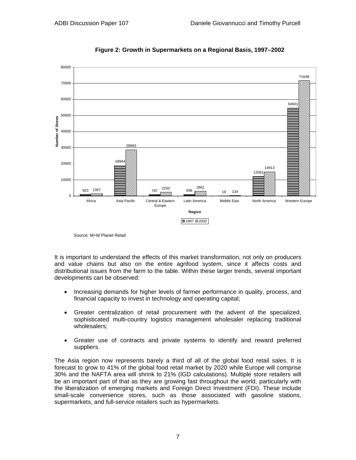

**Figure 2: Growth in Supermarkets on a Regional Basis, 1997–2002**

It is important to understand the effects of this market transformation, not only on producers and value chains but also on the entire agrifood system, since it affects costs and distributional issues from the farm to the table. Within these larger trends, several important developments can be observed:

- Increasing demands for higher levels of farmer performance in quality, process, and financial capacity to invest in technology and operating capital;
- Greater centralization of retail procurement with the advent of the specialized, sophisticated multi-country logistics management wholesaler replacing traditional wholesalers;
- Greater use of contracts and private systems to identify and reward preferred suppliers.

The Asia region now represents barely a third of all of the global food retail sales. It is forecast to grow to 41% of the global food retail market by 2020 while Europe will comprise 30% and the NAFTA area will shrink to 21% (IGD calculations). Multiple store retailers will be an important part of that as they are growing fast throughout the world, particularly with the liberalization of emerging markets and Foreign Direct Investment (FDI). These include small-scale convenience stores, such as those associated with gasoline stations, supermarkets, and full-service retailers such as hypermarkets.

Source: M+M Planet Retail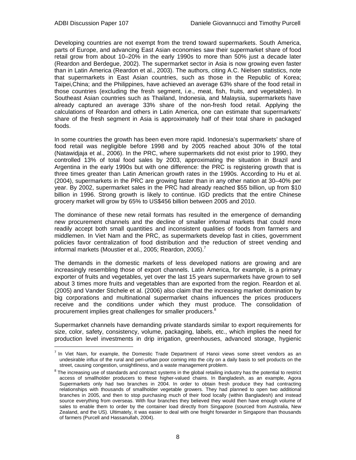l

Developing countries are not exempt from the trend toward supermarkets. South America, parts of Europe, and advancing East Asian economies saw their supermarket share of food retail grow from about 10–20% in the early 1990s to more than 50% just a decade later (Reardon and Berdegue, 2002). The supermarket sector in Asia is now growing even faster than in Latin America (Reardon et al., 2003). The authors, citing A.C. Nielsen statistics, note that supermarkets in East Asian countries, such as those in the Republic of Korea; Taipei,China; and the Philippines, have achieved an average 63% share of the food retail in those countries (excluding the fresh segment, i.e., meat, fish, fruits, and vegetables). In Southeast Asian countries such as Thailand, Indonesia, and Malaysia, supermarkets have already captured an average 33% share of the non-fresh food retail. Applying the calculations of Reardon and others in Latin America, one can estimate that supermarkets' share of the fresh segment in Asia is approximately half of their total share in packaged foods.

In some countries the growth has been even more rapid. Indonesia's supermarkets' share of food retail was negligible before 1998 and by 2005 reached about 30% of the total (Natawidjaja et al., 2006). In the PRC, where supermarkets did not exist prior to 1990, they controlled 13% of total food sales by 2003, approximating the situation in Brazil and Argentina in the early 1990s but with one difference: the PRC is registering growth that is three times greater than Latin American growth rates in the 1990s. According to Hu et al. (2004), supermarkets in the PRC are growing faster than in any other nation at 30–40% per year. By 2002, supermarket sales in the PRC had already reached \$55 billion, up from \$10 billion in 1996. Strong growth is likely to continue. IGD predicts that the entire Chinese grocery market will grow by 65% to US\$456 billion between 2005 and 2010.

The dominance of these new retail formats has resulted in the emergence of demanding new procurement channels and the decline of smaller informal markets that could more readily accept both small quantities and inconsistent qualities of foods from farmers and middlemen. In Viet Nam and the PRC, as supermarkets develop fast in cities, government policies favor centralization of food distribution and the reduction of street vending and informal markets (Moustier et al., 2005; Reardon, 2005).<sup>7</sup>

The demands in the domestic markets of less developed nations are growing and are increasingly resembling those of export channels. Latin America, for example, is a primary exporter of fruits and vegetables, yet over the last 15 years supermarkets have grown to sell about 3 times more fruits and vegetables than are exported from the region. Reardon et al. (2005) and Vander Stichele et al. (2006) also claim that the increasing market domination by big corporations and multinational supermarket chains influences the prices producers receive and the conditions under which they must produce. The consolidation of procurement implies great challenges for smaller producers.<sup>8</sup>

Supermarket channels have demanding private standards similar to export requirements for size, color, safety, consistency, volume, packaging, labels, etc., which implies the need for production level investments in drip irrigation, greenhouses, advanced storage, hygienic

 $<sup>7</sup>$  In Viet Nam, for example, the Domestic Trade Department of Hanoi views some street vendors as an</sup> undesirable influx of the rural and peri-urban poor coming into the city on a daily basis to sell products on the street, causing congestion, unsightliness, and a waste management problem.

 $8$  The increasing use of standards and contract systems in the global retailing industry has the potential to restrict access of smallholder producers to these higher-valued chains. In Bangladesh, as an example, Agora Supermarkets only had two branches in 2004. In order to obtain fresh produce they had contracting relationships with thousands of smallholder vegetable growers. They had planned to open two additional branches in 2005, and then to stop purchasing much of their food locally (within Bangladesh) and instead source everything from overseas. With four branches they believed they would then have enough volume of sales to enable them to order by the container load directly from Singapore (sourced from Australia, New Zealand, and the US). Ultimately, it was easier to deal with one freight forwarder in Singapore than thousands of farmers (Purcell and Hassanullah, 2004).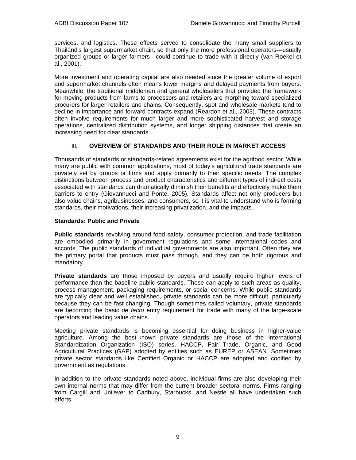services, and logistics. These effects served to consolidate the many small suppliers to Thailand's largest supermarket chain, so that only the more professional operators—usually organized groups or larger farmers—could continue to trade with it directly (van Roekel et al., 2001).

More investment and operating capital are also needed since the greater volume of export and supermarket channels often means lower margins and delayed payments from buyers. Meanwhile, the traditional middlemen and general wholesalers that provided the framework for moving products from farms to processors and retailers are morphing toward specialized procurers for larger retailers and chains. Consequently, spot and wholesale markets tend to decline in importance and forward contracts expand (Reardon et al., 2003). These contracts often involve requirements for much larger and more sophisticated harvest and storage operations, centralized distribution systems, and longer shipping distances that create an increasing need for clear standards.

## **III. OVERVIEW OF STANDARDS AND THEIR ROLE IN MARKET ACCESS**

Thousands of standards or standards-related agreements exist for the agrifood sector. While many are public with common applications, most of today's agricultural trade standards are privately set by groups or firms and apply primarily to their specific needs. The complex distinctions between process and product characteristics and different types of indirect costs associated with standards can dramatically diminish their benefits and effectively make them barriers to entry (Giovannucci and Ponte, 2005). Standards affect not only producers but also value chains, agribusinesses, and consumers, so it is vital to understand who is forming standards, their motivations, their increasing privatization, and the impacts.

## **Standards: Public and Private**

**Public standards** revolving around food safety, consumer protection, and trade facilitation are embodied primarily in government regulations and some international codes and accords. The public standards of individual governments are also important. Often they are the primary portal that products must pass through, and they can be both rigorous and mandatory.

**Private standards** are those imposed by buyers and usually require higher levels of performance than the baseline public standards. These can apply to such areas as quality, process management, packaging requirements, or social concerns. While public standards are typically clear and well established, private standards can be more difficult, particularly because they can be fast-changing. Though sometimes called voluntary, private standards are becoming the basic *de facto* entry requirement for trade with many of the large-scale operators and leading value chains.

Meeting private standards is becoming essential for doing business in higher-value agriculture. Among the best-known private standards are those of the International Standardization Organization (ISO) series, HACCP, Fair Trade, Organic, and Good Agricultural Practices (GAP) adopted by entities such as EUREP or ASEAN. Sometimes private sector standards like Certified Organic or HACCP are adopted and codified by government as regulations.

In addition to the private standards noted above, individual firms are also developing their own internal norms that may differ from the current broader sectoral norms. Firms ranging from Cargill and Unilever to Cadbury, Starbucks, and Nestle all have undertaken such efforts.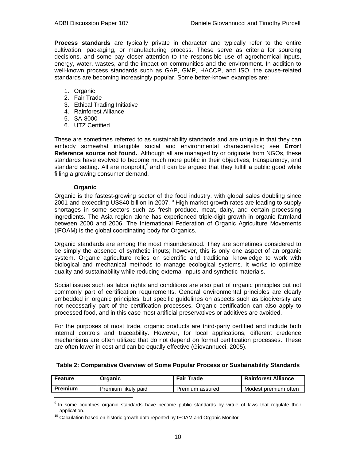**Process standards** are typically private in character and typically refer to the entire cultivation, packaging, or manufacturing process. These serve as criteria for sourcing decisions, and some pay closer attention to the responsible use of agrochemical inputs, energy, water, wastes, and the impact on communities and the environment. In addition to well-known process standards such as GAP, GMP, HACCP, and ISO, the cause-related standards are becoming increasingly popular. Some better-known examples are:

- 1. Organic
- 2. Fair Trade
- 3. Ethical Trading Initiative
- 4. Rainforest Alliance
- 5. SA-8000
- 6. UTZ Certified

These are sometimes referred to as sustainability standards and are unique in that they can embody somewhat intangible social and environmental characteristics; see **Error! Reference source not found.**. Although all are managed by or originate from NGOs, these standards have evolved to become much more public in their objectives, transparency, and standard setting. All are nonprofit,  $9$  and it can be argued that they fulfill a public good while filling a growing consumer demand.

## **Organic**

 $\overline{a}$ 

Organic is the fastest-growing sector of the food industry, with global sales doubling since 2001 and exceeding US\$40 billion in 2007.<sup>10</sup> High market growth rates are leading to supply shortages in some sectors such as fresh produce, meat, dairy, and certain processing ingredients. The Asia region alone has experienced triple-digit growth in organic farmland between 2000 and 2006. The International Federation of Organic Agriculture Movements (IFOAM) is the global coordinating body for Organics.

Organic standards are among the most misunderstood. They are sometimes considered to be simply the absence of synthetic inputs; however, this is only one aspect of an organic system. Organic agriculture relies on scientific and traditional knowledge to work with biological and mechanical methods to manage ecological systems. It works to optimize quality and sustainability while reducing external inputs and synthetic materials.

Social issues such as labor rights and conditions are also part of organic principles but not commonly part of certification requirements. General environmental principles are clearly embedded in organic principles, but specific guidelines on aspects such as biodiversity are not necessarily part of the certification processes. Organic certification can also apply to processed food, and in this case most artificial preservatives or additives are avoided.

For the purposes of most trade, organic products are third-party certified and include both internal controls and traceability. However, for local applications, different credence mechanisms are often utilized that do not depend on formal certification processes. These are often lower in cost and can be equally effective (Giovannucci, 2005).

| Feature | Organic             | <b>Fair Trade</b> | <b>Rainforest Alliance</b> |
|---------|---------------------|-------------------|----------------------------|
| Premium | Premium likely paid | Premium assured   | Modest premium often       |

## **Table 2: Comparative Overview of Some Popular Process or Sustainability Standards**

<sup>&</sup>lt;sup>9</sup> In some countries organic standards have become public standards by virtue of laws that regulate their

application.<br><sup>10</sup> Calculation based on historic growth data reported by IFOAM and Organic Monitor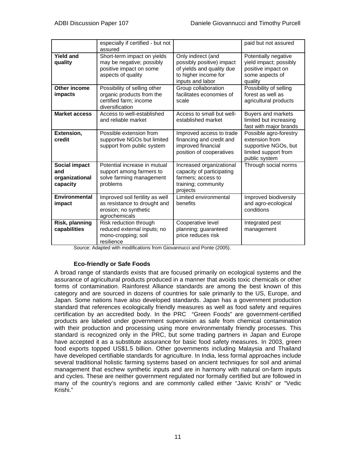|                                                    | especially if certified - but not<br>assured                                                              |                                                                                                                          | paid but not assured                                                                                      |
|----------------------------------------------------|-----------------------------------------------------------------------------------------------------------|--------------------------------------------------------------------------------------------------------------------------|-----------------------------------------------------------------------------------------------------------|
| <b>Yield and</b><br>quality                        | Short-term impact on yields<br>may be negative; possibly<br>positive impact on some<br>aspects of quality | Only indirect (and<br>possibly positive) impact<br>of yields and quality due<br>to higher income for<br>inputs and labor | Potentially negative<br>yield impact; possibly<br>positive impact on<br>some aspects of<br>quality        |
| Other income<br>impacts                            | Possibility of selling other<br>organic products from the<br>certified farm; income<br>diversification    | Group collaboration<br>facilitates economies of<br>scale                                                                 | Possibility of selling<br>forest as well as<br>agricultural products                                      |
| <b>Market access</b>                               | Access to well-established<br>and reliable market                                                         | Access to small but well-<br>established market                                                                          | Buyers and markets<br>limited but increasing<br>fast with major brands                                    |
| Extension,<br>credit                               | Possible extension from<br>supportive NGOs but limited<br>support from public system                      | Improved access to trade<br>financing and credit and<br>improved financial<br>position of cooperatives                   | Possible agro-forestry<br>extension from<br>supportive NGOs, but<br>limited support from<br>public system |
| Social impact<br>and<br>organizational<br>capacity | Potential increase in mutual<br>support among farmers to<br>solve farming management<br>problems          | Increased organizational<br>capacity of participating<br>farmers; access to<br>training; community<br>projects           | Through social norms                                                                                      |
| Environmental<br>impact                            | Improved soil fertility as well<br>as resistance to drought and<br>erosion; no synthetic<br>agrochemicals | Limited environmental<br>benefits                                                                                        | Improved biodiversity<br>and agro-ecological<br>conditions                                                |
| Risk, planning<br>capabilities                     | Risk reduction through<br>reduced external inputs; no<br>mono-cropping; soil<br>resilience                | Cooperative level<br>planning; guaranteed<br>price reduces risk                                                          | Integrated pest<br>management                                                                             |

Source: Adapted with modifications from Giovannucci and Ponte (2005).

## **Eco-friendly or Safe Foods**

A broad range of standards exists that are focused primarily on ecological systems and the assurance of agricultural products produced in a manner that avoids toxic chemicals or other forms of contamination. Rainforest Alliance standards are among the best known of this category and are sourced in dozens of countries for sale primarily to the US, Europe, and Japan. Some nations have also developed standards. Japan has a government production standard that references ecologically friendly measures as well as food safety and requires certification by an accredited body. In the PRC "Green Foods" are government-certified products are labeled under government supervision as safe from chemical contamination with their production and processing using more environmentally friendly processes. This standard is recognized only in the PRC, but some trading partners in Japan and Europe have accepted it as a substitute assurance for basic food safety measures. In 2003, green food exports topped US\$1.5 billion. Other governments including Malaysia and Thailand have developed certifiable standards for agriculture. In India, less formal approaches include several traditional holistic farming systems based on ancient techniques for soil and animal management that eschew synthetic inputs and are in harmony with natural on-farm inputs and cycles. These are neither government regulated nor formally certified but are followed in many of the country's regions and are commonly called either "Jaivic Krishi" or "Vedic Krishi."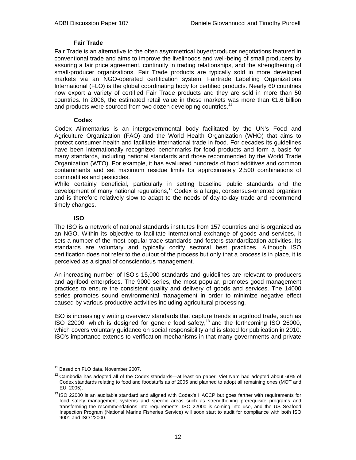## **Fair Trade**

Fair Trade is an alternative to the often asymmetrical buyer/producer negotiations featured in conventional trade and aims to improve the livelihoods and well-being of small producers by assuring a fair price agreement, continuity in trading relationships, and the strengthening of small-producer organizations. Fair Trade products are typically sold in more developed markets via an NGO-operated certification system. Fairtrade Labelling Organizations International (FLO) is the global coordinating body for certified products. Nearly 60 countries now export a variety of certified Fair Trade products and they are sold in more than 50 countries. In 2006, the estimated retail value in these markets was more than €1.6 billion and products were sourced from two dozen developing countries.<sup>11</sup>

## **Codex**

Codex Alimentarius is an intergovernmental body facilitated by the UN's Food and Agriculture Organization (FAO) and the World Health Organization (WHO) that aims to protect consumer health and facilitate international trade in food. For decades its guidelines have been internationally recognized benchmarks for food products and form a basis for many standards, including national standards and those recommended by the World Trade Organization (WTO). For example, it has evaluated hundreds of food additives and common contaminants and set maximum residue limits for approximately 2,500 combinations of commodities and pesticides.

While certainly beneficial, particularly in setting baseline public standards and the development of many national regulations, $12$  Codex is a large, consensus-oriented organism and is therefore relatively slow to adapt to the needs of day-to-day trade and recommend timely changes.

## **ISO**

The ISO is a network of national standards institutes from 157 countries and is organized as an NGO. Within its objective to facilitate international exchange of goods and services, it sets a number of the most popular trade standards and fosters standardization activities. Its standards are voluntary and typically codify sectoral best practices. Although ISO certification does not refer to the output of the process but only that a process is in place, it is perceived as a signal of conscientious management.

An increasing number of ISO's 15,000 standards and guidelines are relevant to producers and agrifood enterprises. The 9000 series, the most popular, promotes good management practices to ensure the consistent quality and delivery of goods and services. The 14000 series promotes sound environmental management in order to minimize negative effect caused by various productive activities including agricultural processing.

ISO is increasingly writing overview standards that capture trends in agrifood trade, such as ISO 22000, which is designed for generic food safety, $13$  and the forthcoming ISO 26000, which covers voluntary guidance on social responsibility and is slated for publication in 2010. ISO's importance extends to verification mechanisms in that many governments and private

 $\overline{a}$ 

<sup>&</sup>lt;sup>11</sup> Based on FLO data, November 2007.

 $12$  Cambodia has adopted all of the Codex standards—at least on paper. Viet Nam had adopted about 60% of Codex standards relating to food and foodstuffs as of 2005 and planned to adopt all remaining ones (MOT and

EU, 2005).<br><sup>13</sup> ISO 22000 is an auditable standard and aligned with Codex's HACCP but goes farther with requirements for food safety management systems and specific areas such as strengthening prerequisite programs and transforming the recommendations into requirements. ISO 22000 is coming into use, and the US Seafood Inspection Program (National Marine Fisheries Service) will soon start to audit for compliance with both ISO 9001 and ISO 22000.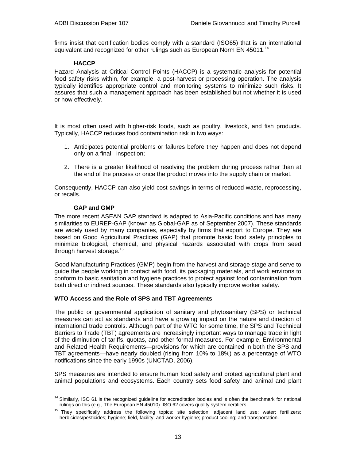firms insist that certification bodies comply with a standard (ISO65) that is an international equivalent and recognized for other rulings such as European Norm EN 45011.<sup>14</sup>

#### **HACCP**

Hazard Analysis at Critical Control Points (HACCP) is a systematic analysis for potential food safety risks within, for example, a post-harvest or processing operation. The analysis typically identifies appropriate control and monitoring systems to minimize such risks. It assures that such a management approach has been established but not whether it is used or how effectively.

It is most often used with higher-risk foods, such as poultry, livestock, and fish products. Typically, HACCP reduces food contamination risk in two ways:

- 1. Anticipates potential problems or failures before they happen and does not depend only on a final inspection;
- 2. There is a greater likelihood of resolving the problem during process rather than at the end of the process or once the product moves into the supply chain or market.

Consequently, HACCP can also yield cost savings in terms of reduced waste, reprocessing, or recalls.

## **GAP and GMP**

 $\overline{a}$ 

The more recent ASEAN GAP standard is adapted to Asia-Pacific conditions and has many similarities to EUREP-GAP (known as Global-GAP as of September 2007). These standards are widely used by many companies, especially by firms that export to Europe. They are based on Good Agricultural Practices (GAP) that promote basic food safety principles to minimize biological, chemical, and physical hazards associated with crops from seed through harvest storage.<sup>15</sup>

Good Manufacturing Practices (GMP) begin from the harvest and storage stage and serve to guide the people working in contact with food, its packaging materials, and work environs to conform to basic sanitation and hygiene practices to protect against food contamination from both direct or indirect sources. These standards also typically improve worker safety.

## **WTO Access and the Role of SPS and TBT Agreements**

The public or governmental application of sanitary and phytosanitary (SPS) or technical measures can act as standards and have a growing impact on the nature and direction of international trade controls. Although part of the WTO for some time, the SPS and Technical Barriers to Trade (TBT) agreements are increasingly important ways to manage trade in light of the diminution of tariffs, quotas, and other formal measures. For example, Environmental and Related Health Requirements—provisions for which are contained in both the SPS and TBT agreements—have nearly doubled (rising from 10% to 18%) as a percentage of WTO notifications since the early 1990s (UNCTAD, 2006).

SPS measures are intended to ensure human food safety and protect agricultural plant and animal populations and ecosystems. Each country sets food safety and animal and plant

<sup>&</sup>lt;sup>14</sup> Similarly, ISO 61 is the recognized guideline for accreditation bodies and is often the benchmark for national

rulings on this (e.g., The European EN 45010). ISO 62 covers quality system certifiers.<br><sup>15</sup> They specifically address the following topics: site selection; adjacent land use; water; fertilizers; herbicides/pesticides; hygiene; field, facility, and worker hygiene; product cooling; and transportation.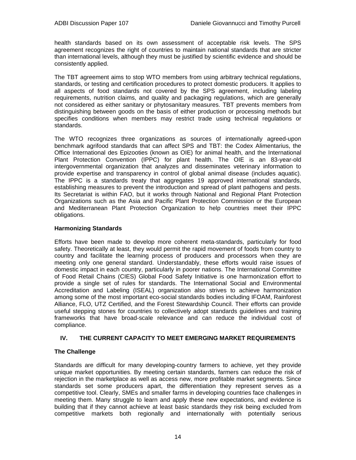health standards based on its own assessment of acceptable risk levels. The SPS agreement recognizes the right of countries to maintain national standards that are stricter than international levels, although they must be justified by scientific evidence and should be consistently applied.

The TBT agreement aims to stop WTO members from using arbitrary technical regulations, standards, or testing and certification procedures to protect domestic producers. It applies to all aspects of food standards not covered by the SPS agreement, including labeling requirements, nutrition claims, and quality and packaging regulations, which are generally not considered as either sanitary or phytosanitary measures. TBT prevents members from distinguishing between goods on the basis of either production or processing methods but specifies conditions when members may restrict trade using technical regulations or standards.

The WTO recognizes three organizations as sources of internationally agreed-upon benchmark agrifood standards that can affect SPS and TBT: the Codex Alimentarius, the Office International des Epizooties (known as OIE) for animal health, and the International Plant Protection Convention (IPPC) for plant health. The OIE is an 83-year-old intergovernmental organization that analyzes and disseminates veterinary information to provide expertise and transparency in control of global animal disease (includes aquatic). The IPPC is a standards treaty that aggregates 19 approved international standards, establishing measures to prevent the introduction and spread of plant pathogens and pests. Its Secretariat is within FAO, but it works through National and Regional Plant Protection Organizations such as the Asia and Pacific Plant Protection Commission or the European and Mediterranean Plant Protection Organization to help countries meet their IPPC obligations.

## **Harmonizing Standards**

Efforts have been made to develop more coherent meta-standards, particularly for food safety. Theoretically at least, they would permit the rapid movement of foods from country to country and facilitate the learning process of producers and processors when they are meeting only one general standard. Understandably, these efforts would raise issues of domestic impact in each country, particularly in poorer nations. The International Committee of Food Retail Chains (CIES) Global Food Safety Initiative is one harmonization effort to provide a single set of rules for standards. The International Social and Environmental Accreditation and Labeling (ISEAL) organization also strives to achieve harmonization among some of the most important eco-social standards bodies including IFOAM, Rainforest Alliance, FLO, UTZ Certified, and the Forest Stewardship Council. Their efforts can provide useful stepping stones for countries to collectively adopt standards guidelines and training frameworks that have broad-scale relevance and can reduce the individual cost of compliance.

## **IV. THE CURRENT CAPACITY TO MEET EMERGING MARKET REQUIREMENTS**

## **The Challenge**

Standards are difficult for many developing-country farmers to achieve, yet they provide unique market opportunities. By meeting certain standards, farmers can reduce the risk of rejection in the marketplace as well as access new, more profitable market segments. Since standards set some producers apart, the differentiation they represent serves as a competitive tool. Clearly, SMEs and smaller farms in developing countries face challenges in meeting them. Many struggle to learn and apply these new expectations, and evidence is building that if they cannot achieve at least basic standards they risk being excluded from competitive markets both regionally and internationally with potentially serious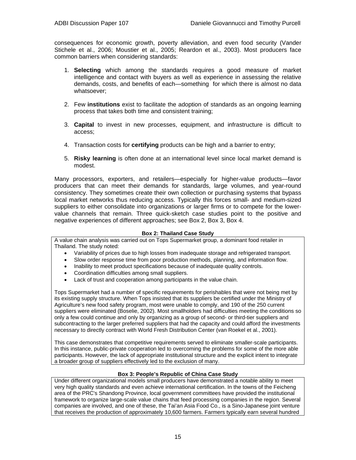consequences for economic growth, poverty alleviation, and even food security (Vander Stichele et al., 2006; Moustier et al., 2005; Reardon et al., 2003). Most producers face common barriers when considering standards:

- 1. **Selecting** which among the standards requires a good measure of market intelligence and contact with buyers as well as experience in assessing the relative demands, costs, and benefits of each—something for which there is almost no data whatsoever;
- 2. Few **institutions** exist to facilitate the adoption of standards as an ongoing learning process that takes both time and consistent training;
- 3. **Capital** to invest in new processes, equipment, and infrastructure is difficult to access;
- 4. Transaction costs for **certifying** products can be high and a barrier to entry;
- 5. **Risky learning** is often done at an international level since local market demand is modest.

Many processors, exporters, and retailers—especially for higher-value products—favor producers that can meet their demands for standards, large volumes, and year-round consistency. They sometimes create their own collection or purchasing systems that bypass local market networks thus reducing access. Typically this forces small- and medium-sized suppliers to either consolidate into organizations or larger firms or to compete for the lowervalue channels that remain. Three quick-sketch case studies point to the positive and negative experiences of different approaches; see Box 2, Box 3, Box 4.

#### **Box 2: Thailand Case Study**

A value chain analysis was carried out on Tops Supermarket group, a dominant food retailer in Thailand. The study noted:

- Variability of prices due to high losses from inadequate storage and refrigerated transport.
- Slow order response time from poor production methods, planning, and information flow.
- Inability to meet product specifications because of inadequate quality controls.
- Coordination difficulties among small suppliers.
- Lack of trust and cooperation among participants in the value chain.

Tops Supermarket had a number of specific requirements for perishables that were not being met by its existing supply structure. When Tops insisted that its suppliers be certified under the Ministry of Agriculture's new food safety program, most were unable to comply, and 190 of the 250 current suppliers were eliminated (Boselie, 2002). Most smallholders had difficulties meeting the conditions so only a few could continue and only by organizing as a group of second- or third-tier suppliers and subcontracting to the larger preferred suppliers that had the capacity and could afford the investments necessary to directly contract with World Fresh Distribution Center (van Roekel et al., 2001).

This case demonstrates that competitive requirements served to eliminate smaller-scale participants. In this instance, public-private cooperation led to overcoming the problems for some of the more able participants. However, the lack of appropriate institutional structure and the explicit intent to integrate a broader group of suppliers effectively led to the exclusion of many.

#### **Box 3: People's Republic of China Case Study**

Under different organizational models small producers have demonstrated a notable ability to meet very high quality standards and even achieve international certification. In the towns of the Feicheng area of the PRC's Shandong Province, local government committees have provided the institutional framework to organize large-scale value chains that feed processing companies in the region. Several companies are involved, and one of these, the Tai'an Asia Food Co., is a Sino-Japanese joint venture that receives the production of approximately 10,600 farmers. Farmers typically earn several hundred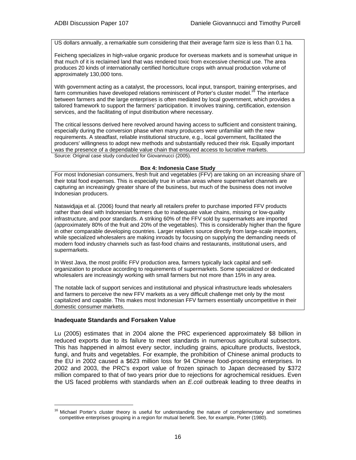US dollars annually, a remarkable sum considering that their average farm size is less than 0.1 ha.

Feicheng specializes in high-value organic produce for overseas markets and is somewhat unique in that much of it is reclaimed land that was rendered toxic from excessive chemical use. The area produces 20 kinds of internationally certified horticulture crops with annual production volume of approximately 130,000 tons.

With government acting as a catalyst, the processors, local input, transport, training enterprises, and farm communities have developed relations reminiscent of Porter's cluster model.<sup>16</sup> The interface between farmers and the large enterprises is often mediated by local government, which provides a tailored framework to support the farmers' participation. It involves training, certification, extension services, and the facilitating of input distribution where necessary.

The critical lessons derived here revolved around having access to sufficient and consistent training, especially during the conversion phase when many producers were unfamiliar with the new requirements. A steadfast, reliable institutional structure, e.g., local government, facilitated the producers' willingness to adopt new methods and substantially reduced their risk. Equally important was the presence of a dependable value chain that ensured access to lucrative markets. Source: Original case study conducted for Giovannucci (2005).

#### **Box 4: Indonesia Case Study**

For most Indonesian consumers, fresh fruit and vegetables (FFV) are taking on an increasing share of their total food expenses. This is especially true in urban areas where supermarket channels are capturing an increasingly greater share of the business, but much of the business does not involve Indonesian producers.

Natawidjaja et al. (2006) found that nearly all retailers prefer to purchase imported FFV products rather than deal with Indonesian farmers due to inadequate value chains, missing or low-quality infrastructure, and poor standards. A striking 60% of the FFV sold by supermarkets are imported (approximately 80% of the fruit and 20% of the vegetables). This is considerably higher than the figure in other comparable developing countries. Larger retailers source directly from large-scale importers, while specialized wholesalers are making inroads by focusing on supplying the demanding needs of modern food industry channels such as fast-food chains and restaurants, institutional users, and supermarkets.

In West Java, the most prolific FFV production area, farmers typically lack capital and selforganization to produce according to requirements of supermarkets. Some specialized or dedicated wholesalers are increasingly working with small farmers but not more than 15% in any area.

The notable lack of support services and institutional and physical infrastructure leads wholesalers and farmers to perceive the new FFV markets as a very difficult challenge met only by the most capitalized and capable. This makes most Indonesian FFV farmers essentially uncompetitive in their domestic consumer markets.

#### **Inadequate Standards and Forsaken Value**

l

Lu (2005) estimates that in 2004 alone the PRC experienced approximately \$8 billion in reduced exports due to its failure to meet standards in numerous agricultural subsectors. This has happened in almost every sector, including grains, apiculture products, livestock, fungi, and fruits and vegetables. For example, the prohibition of Chinese animal products to the EU in 2002 caused a \$623 million loss for 94 Chinese food-processing enterprises. In 2002 and 2003, the PRC's export value of frozen spinach to Japan decreased by \$372 million compared to that of two years prior due to rejections for agrochemical residues. Even the US faced problems with standards when an *E.coli* outbreak leading to three deaths in

<sup>&</sup>lt;sup>16</sup> Michael Porter's cluster theory is useful for understanding the nature of complementary and sometimes competitive enterprises grouping in a region for mutual benefit. See, for example, Porter (1980).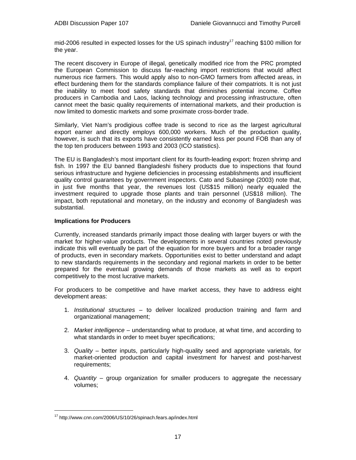mid-2006 resulted in expected losses for the US spinach industry<sup>17</sup> reaching \$100 million for the year.

The recent discovery in Europe of illegal, genetically modified rice from the PRC prompted the European Commission to discuss far-reaching import restrictions that would affect numerous rice farmers. This would apply also to non-GMO farmers from affected areas, in effect burdening them for the standards compliance failure of their compatriots. It is not just the inability to meet food safety standards that diminishes potential income. Coffee producers in Cambodia and Laos, lacking technology and processing infrastructure, often cannot meet the basic quality requirements of international markets, and their production is now limited to domestic markets and some proximate cross-border trade.

Similarly, Viet Nam's prodigious coffee trade is second to rice as the largest agricultural export earner and directly employs 600,000 workers. Much of the production quality, however, is such that its exports have consistently earned less per pound FOB than any of the top ten producers between 1993 and 2003 (ICO statistics).

The EU is Bangladesh's most important client for its fourth-leading export: frozen shrimp and fish. In 1997 the EU banned Bangladeshi fishery products due to inspections that found serious infrastructure and hygiene deficiencies in processing establishments and insufficient quality control guarantees by government inspectors. Cato and Subasinge (2003) note that, in just five months that year, the revenues lost (US\$15 million) nearly equaled the investment required to upgrade those plants and train personnel (US\$18 million). The impact, both reputational and monetary, on the industry and economy of Bangladesh was substantial.

## **Implications for Producers**

Currently, increased standards primarily impact those dealing with larger buyers or with the market for higher-value products. The developments in several countries noted previously indicate this will eventually be part of the equation for more buyers and for a broader range of products, even in secondary markets. Opportunities exist to better understand and adapt to new standards requirements in the secondary and regional markets in order to be better prepared for the eventual growing demands of those markets as well as to export competitively to the most lucrative markets.

For producers to be competitive and have market access, they have to address eight development areas:

- 1. *Institutional structures* to deliver localized production training and farm and organizational management;
- 2. *Market intelligence*  understanding what to produce, at what time, and according to what standards in order to meet buyer specifications;
- 3. *Quality*  better inputs, particularly high-quality seed and appropriate varietals, for market-oriented production and capital investment for harvest and post-harvest requirements;
- 4. *Quantity* group organization for smaller producers to aggregate the necessary volumes;

l

<sup>17</sup> http://www.cnn.com/2006/US/10/26/spinach.fears.ap/index.html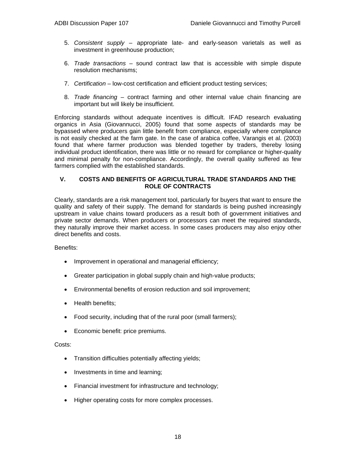- 5. *Consistent supply* appropriate late- and early-season varietals as well as investment in greenhouse production;
- 6. *Trade transactions* sound contract law that is accessible with simple dispute resolution mechanisms;
- 7. *Certification* low-cost certification and efficient product testing services;
- 8. *Trade financing* contract farming and other internal value chain financing are important but will likely be insufficient.

Enforcing standards without adequate incentives is difficult. IFAD research evaluating organics in Asia (Giovannucci, 2005) found that some aspects of standards may be bypassed where producers gain little benefit from compliance, especially where compliance is not easily checked at the farm gate. In the case of arabica coffee, Varangis et al. (2003) found that where farmer production was blended together by traders, thereby losing individual product identification, there was little or no reward for compliance or higher-quality and minimal penalty for non-compliance. Accordingly, the overall quality suffered as few farmers complied with the established standards.

## **V. COSTS AND BENEFITS OF AGRICULTURAL TRADE STANDARDS AND THE ROLE OF CONTRACTS**

Clearly, standards are a risk management tool, particularly for buyers that want to ensure the quality and safety of their supply. The demand for standards is being pushed increasingly upstream in value chains toward producers as a result both of government initiatives and private sector demands. When producers or processors can meet the required standards, they naturally improve their market access. In some cases producers may also enjoy other direct benefits and costs.

Benefits:

- Improvement in operational and managerial efficiency;
- Greater participation in global supply chain and high-value products;
- Environmental benefits of erosion reduction and soil improvement;
- Health benefits;
- Food security, including that of the rural poor (small farmers);
- Economic benefit: price premiums.

#### Costs:

- Transition difficulties potentially affecting yields;
- Investments in time and learning;
- Financial investment for infrastructure and technology;
- Higher operating costs for more complex processes.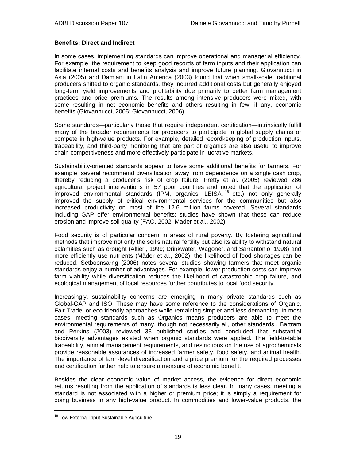## **Benefits: Direct and Indirect**

In some cases, implementing standards can improve operational and managerial efficiency. For example, the requirement to keep good records of farm inputs and their application can facilitate internal costs and benefits analysis and improve future planning. Giovannucci in Asia (2005) and Damiani in Latin America (2003) found that when small-scale traditional producers shifted to organic standards, they incurred additional costs but generally enjoyed long-term yield improvements and profitability due primarily to better farm management practices and price premiums. The results among intensive producers were mixed, with some resulting in net economic benefits and others resulting in few, if any, economic benefits (Giovannucci, 2005; Giovannucci, 2006).

Some standards—particularly those that require independent certification—intrinsically fulfill many of the broader requirements for producers to participate in global supply chains or compete in high-value products. For example, detailed recordkeeping of production inputs, traceability, and third-party monitoring that are part of organics are also useful to improve chain competitiveness and more effectively participate in lucrative markets.

Sustainability-oriented standards appear to have some additional benefits for farmers. For example, several recommend diversification away from dependence on a single cash crop, thereby reducing a producer's risk of crop failure. Pretty et al. (2005) reviewed 286 agricultural project interventions in 57 poor countries and noted that the application of improved environmental standards (IPM, organics, LEISA,  $^{18}$  etc.) not only generally improved the supply of critical environmental services for the communities but also increased productivity on most of the 12.6 million farms covered. Several standards including GAP offer environmental benefits; studies have shown that these can reduce erosion and improve soil quality (FAO, 2002; Mader et al., 2002).

Food security is of particular concern in areas of rural poverty. By fostering agricultural methods that improve not only the soil's natural fertility but also its ability to withstand natural calamities such as drought (Altieri, 1999; Drinkwater, Wagoner, and Sarrantonio, 1998) and more efficiently use nutrients (Mäder et al., 2002), the likelihood of food shortages can be reduced. Setboonsarng (2006) notes several studies showing farmers that meet organic standards enjoy a number of advantages. For example, lower production costs can improve farm viability while diversification reduces the likelihood of catastrophic crop failure, and ecological management of local resources further contributes to local food security.

Increasingly, sustainability concerns are emerging in many private standards such as Global-GAP and ISO. These may have some reference to the considerations of Organic, Fair Trade, or eco-friendly approaches while remaining simpler and less demanding. In most cases, meeting standards such as Organics means producers are able to meet the environmental requirements of many, though not necessarily all, other standards.. Bartram and Perkins (2003) reviewed 33 published studies and concluded that substantial biodiversity advantages existed when organic standards were applied. The field-to-table traceability, animal management requirements, and restrictions on the use of agrochemicals provide reasonable assurances of increased farmer safety, food safety, and animal health. The importance of farm-level diversification and a price premium for the required processes and certification further help to ensure a measure of economic benefit.

Besides the clear economic value of market access, the evidence for direct economic returns resulting from the application of standards is less clear. In many cases, meeting a standard is not associated with a higher or premium price; it is simply a requirement for doing business in any high-value product. In commodities and lower-value products, the

l

<sup>&</sup>lt;sup>18</sup> Low External Input Sustainable Agriculture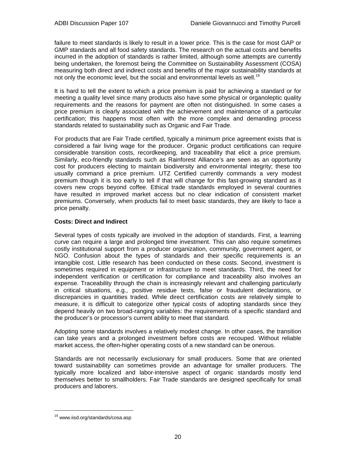failure to meet standards is likely to result in a lower price. This is the case for most GAP or GMP standards and all food safety standards. The research on the actual costs and benefits incurred in the adoption of standards is rather limited, although some attempts are currently being undertaken, the foremost being the Committee on Sustainability Assessment (COSA) measuring both direct and indirect costs and benefits of the major sustainability standards at not only the economic level, but the social and environmental levels as well.<sup>19</sup>

It is hard to tell the extent to which a price premium is paid for achieving a standard or for meeting a quality level since many products also have some physical or organoleptic quality requirements and the reasons for payment are often not distinguished. In some cases a price premium is clearly associated with the achievement and maintenance of a particular certification; this happens most often with the more complex and demanding process standards related to sustainability such as Organic and Fair Trade.

For products that are Fair Trade certified, typically a minimum price agreement exists that is considered a fair living wage for the producer. Organic product certifications can require considerable transition costs, recordkeeping, and traceability that elicit a price premium. Similarly, eco-friendly standards such as Rainforest Alliance's are seen as an opportunity cost for producers electing to maintain biodiversity and environmental integrity; these too usually command a price premium. UTZ Certified currently commands a very modest premium though it is too early to tell if that will change for this fast-growing standard as it covers new crops beyond coffee. Ethical trade standards employed in several countries have resulted in improved market access but no clear indication of consistent market premiums. Conversely, when products fail to meet basic standards, they are likely to face a price penalty.

## **Costs: Direct and Indirect**

Several types of costs typically are involved in the adoption of standards. First, a learning curve can require a large and prolonged time investment. This can also require sometimes costly institutional support from a producer organization, community, government agent, or NGO. Confusion about the types of standards and their specific requirements is an intangible cost. Little research has been conducted on these costs. Second, investment is sometimes required in equipment or infrastructure to meet standards. Third, the need for independent verification or certification for compliance and traceability also involves an expense. Traceability through the chain is increasingly relevant and challenging particularly in critical situations, e.g., positive residue tests, false or fraudulent declarations, or discrepancies in quantities traded. While direct certification costs are relatively simple to measure, it is difficult to categorize other typical costs of adopting standards since they depend heavily on two broad-ranging variables: the requirements of a specific standard and the producer's or processor's current ability to meet that standard.

Adopting some standards involves a relatively modest change. In other cases, the transition can take years and a prolonged investment before costs are recouped. Without reliable market access, the often-higher operating costs of a new standard can be onerous.

Standards are not necessarily exclusionary for small producers. Some that are oriented toward sustainability can sometimes provide an advantage for smaller producers. The typically more localized and labor-intensive aspect of organic standards mostly lend themselves better to smallholders. Fair Trade standards are designed specifically for small producers and laborers.

l

<sup>&</sup>lt;sup>19</sup> www.iisd.org/standards/cosa.asp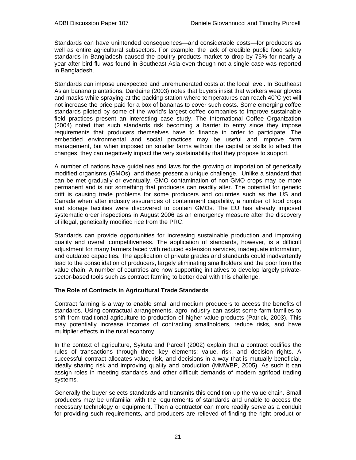Standards can have unintended consequences—and considerable costs—for producers as well as entire agricultural subsectors. For example, the lack of credible public food safety standards in Bangladesh caused the poultry products market to drop by 75% for nearly a year after bird flu was found in Southeast Asia even though not a single case was reported in Bangladesh.

Standards can impose unexpected and unremunerated costs at the local level. In Southeast Asian banana plantations, Dardaine (2003) notes that buyers insist that workers wear gloves and masks while spraying at the packing station where temperatures can reach 40°C yet will not increase the price paid for a box of bananas to cover such costs. Some emerging coffee standards piloted by some of the world's largest coffee companies to improve sustainable field practices present an interesting case study. The International Coffee Organization (2004) noted that such standards risk becoming a barrier to entry since they impose requirements that producers themselves have to finance in order to participate. The embedded environmental and social practices may be useful and improve farm management, but when imposed on smaller farms without the capital or skills to affect the changes, they can negatively impact the very sustainability that they propose to support.

A number of nations have guidelines and laws for the growing or importation of genetically modified organisms (GMOs), and these present a unique challenge. Unlike a standard that can be met gradually or eventually, GMO contamination of non-GMO crops may be more permanent and is not something that producers can readily alter. The potential for genetic drift is causing trade problems for some producers and countries such as the US and Canada when after industry assurances of containment capability, a number of food crops and storage facilities were discovered to contain GMOs. The EU has already imposed systematic order inspections in August 2006 as an emergency measure after the discovery of illegal, genetically modified rice from the PRC.

Standards can provide opportunities for increasing sustainable production and improving quality and overall competitiveness. The application of standards, however, is a difficult adjustment for many farmers faced with reduced extension services, inadequate information, and outdated capacities. The application of private grades and standards could inadvertently lead to the consolidation of producers, largely eliminating smallholders and the poor from the value chain. A number of countries are now supporting initiatives to develop largely privatesector-based tools such as contract farming to better deal with this challenge.

## **The Role of Contracts in Agricultural Trade Standards**

Contract farming is a way to enable small and medium producers to access the benefits of standards. Using contractual arrangements, agro-industry can assist some farm families to shift from traditional agriculture to production of higher-value products (Patrick, 2003). This may potentially increase incomes of contracting smallholders, reduce risks, and have multiplier effects in the rural economy.

In the context of agriculture, Sykuta and Parcell (2002) explain that a contract codifies the rules of transactions through three key elements: value, risk, and decision rights. A successful contract allocates value, risk, and decisions in a way that is mutually beneficial, ideally sharing risk and improving quality and production (MMWBP, 2005). As such it can assign roles in meeting standards and other difficult demands of modern agrifood trading systems.

Generally the buyer selects standards and transmits this condition up the value chain. Small producers may be unfamiliar with the requirements of standards and unable to access the necessary technology or equipment. Then a contractor can more readily serve as a conduit for providing such requirements, and producers are relieved of finding the right product or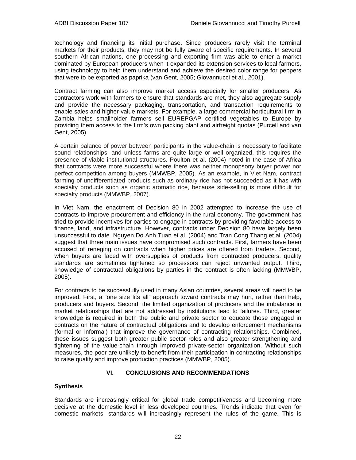technology and financing its initial purchase. Since producers rarely visit the terminal markets for their products, they may not be fully aware of specific requirements. In several southern African nations, one processing and exporting firm was able to enter a market dominated by European producers when it expanded its extension services to local farmers, using technology to help them understand and achieve the desired color range for peppers that were to be exported as paprika (van Gent, 2005; Giovannucci et al., 2001).

Contract farming can also improve market access especially for smaller producers. As contractors work with farmers to ensure that standards are met, they also aggregate supply and provide the necessary packaging, transportation, and transaction requirements to enable sales and higher-value markets. For example, a large commercial horticultural firm in Zambia helps smallholder farmers sell EUREPGAP certified vegetables to Europe by providing them access to the firm's own packing plant and airfreight quotas (Purcell and van Gent, 2005).

A certain balance of power between participants in the value-chain is necessary to facilitate sound relationships, and unless farms are quite large or well organized, this requires the presence of viable institutional structures. Poulton et al. (2004) noted in the case of Africa that contracts were more successful where there was neither monopsony buyer power nor perfect competition among buyers (MMWBP, 2005). As an example, in Viet Nam, contract farming of undifferentiated products such as ordinary rice has not succeeded as it has with specialty products such as organic aromatic rice, because side-selling is more difficult for specialty products (MMWBP, 2007).

In Viet Nam, the enactment of Decision 80 in 2002 attempted to increase the use of contracts to improve procurement and efficiency in the rural economy. The government has tried to provide incentives for parties to engage in contracts by providing favorable access to finance, land, and infrastructure. However, contracts under Decision 80 have largely been unsuccessful to date. Nguyen Do Anh Tuan et al. (2004) and Tran Cong Thang et al. (2004) suggest that three main issues have compromised such contracts. First, farmers have been accused of reneging on contracts when higher prices are offered from traders. Second, when buyers are faced with oversupplies of products from contracted producers, quality standards are sometimes tightened so processors can reject unwanted output. Third, knowledge of contractual obligations by parties in the contract is often lacking (MMWBP, 2005).

For contracts to be successfully used in many Asian countries, several areas will need to be improved. First, a "one size fits all" approach toward contracts may hurt, rather than help, producers and buyers. Second, the limited organization of producers and the imbalance in market relationships that are not addressed by institutions lead to failures. Third, greater knowledge is required in both the public and private sector to educate those engaged in contracts on the nature of contractual obligations and to develop enforcement mechanisms (formal or informal) that improve the governance of contracting relationships. Combined, these issues suggest both greater public sector roles and also greater strengthening and tightening of the value-chain through improved private-sector organization. Without such measures, the poor are unlikely to benefit from their participation in contracting relationships to raise quality and improve production practices (MMWBP, 2005).

## **VI. CONCLUSIONS AND RECOMMENDATIONS**

## **Synthesis**

Standards are increasingly critical for global trade competitiveness and becoming more decisive at the domestic level in less developed countries. Trends indicate that even for domestic markets, standards will increasingly represent the rules of the game. This is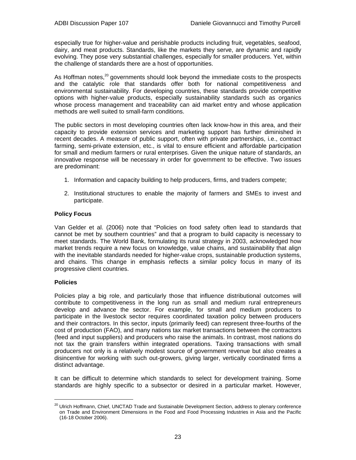especially true for higher-value and perishable products including fruit, vegetables, seafood, dairy, and meat products. Standards, like the markets they serve, are dynamic and rapidly evolving. They pose very substantial challenges, especially for smaller producers. Yet, within the challenge of standards there are a host of opportunities.

As Hoffman notes, $20$  governments should look beyond the immediate costs to the prospects and the catalytic role that standards offer both for national competitiveness and environmental sustainability. For developing countries, these standards provide competitive options with higher-value products, especially sustainability standards such as organics whose process management and traceability can aid market entry and whose application methods are well suited to small-farm conditions.

The public sectors in most developing countries often lack know-how in this area, and their capacity to provide extension services and marketing support has further diminished in recent decades. A measure of public support, often with private partnerships, i.e., contract farming, semi-private extension, etc., is vital to ensure efficient and affordable participation for small and medium farmers or rural enterprises. Given the unique nature of standards, an innovative response will be necessary in order for government to be effective. Two issues are predominant:

- 1. Information and capacity building to help producers, firms, and traders compete;
- 2. Institutional structures to enable the majority of farmers and SMEs to invest and participate.

## **Policy Focus**

Van Gelder et al. (2006) note that "Policies on food safety often lead to standards that cannot be met by southern countries" and that a program to build capacity is necessary to meet standards. The World Bank, formulating its rural strategy in 2003, acknowledged how market trends require a new focus on knowledge, value chains, and sustainability that align with the inevitable standards needed for higher-value crops, sustainable production systems, and chains. This change in emphasis reflects a similar policy focus in many of its progressive client countries.

#### **Policies**

l

Policies play a big role, and particularly those that influence distributional outcomes will contribute to competitiveness in the long run as small and medium rural entrepreneurs develop and advance the sector. For example, for small and medium producers to participate in the livestock sector requires coordinated taxation policy between producers and their contractors. In this sector, inputs (primarily feed) can represent three-fourths of the cost of production (FAO), and many nations tax market transactions between the contractors (feed and input suppliers) and producers who raise the animals. In contrast, most nations do not tax the grain transfers within integrated operations. Taxing transactions with small producers not only is a relatively modest source of government revenue but also creates a disincentive for working with such out-growers, giving larger, vertically coordinated firms a distinct advantage.

It can be difficult to determine which standards to select for development training. Some standards are highly specific to a subsector or desired in a particular market. However,

<sup>&</sup>lt;sup>20</sup> Ulrich Hoffmann, Chief, UNCTAD Trade and Sustainable Development Section, address to plenary conference on Trade and Environment Dimensions in the Food and Food Processing Industries in Asia and the Pacific (16-18 October 2006).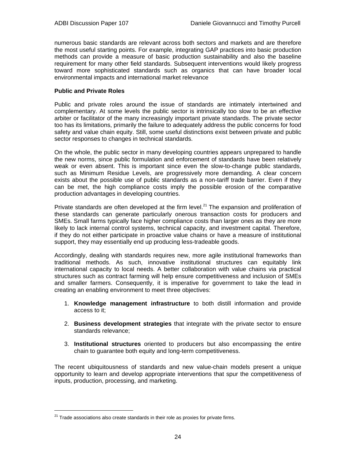numerous basic standards are relevant across both sectors and markets and are therefore the most useful starting points. For example, integrating GAP practices into basic production methods can provide a measure of basic production sustainability and also the baseline requirement for many other field standards. Subsequent interventions would likely progress toward more sophisticated standards such as organics that can have broader local environmental impacts and international market relevance

## **Public and Private Roles**

Public and private roles around the issue of standards are intimately intertwined and complementary. At some levels the public sector is intrinsically too slow to be an effective arbiter or facilitator of the many increasingly important private standards. The private sector too has its limitations, primarily the failure to adequately address the public concerns for food safety and value chain equity. Still, some useful distinctions exist between private and public sector responses to changes in technical standards.

On the whole, the public sector in many developing countries appears unprepared to handle the new norms, since public formulation and enforcement of standards have been relatively weak or even absent. This is important since even the slow-to-change public standards, such as Minimum Residue Levels, are progressively more demanding. A clear concern exists about the possible use of public standards as a non-tariff trade barrier. Even if they can be met, the high compliance costs imply the possible erosion of the comparative production advantages in developing countries.

Private standards are often developed at the firm level.<sup>21</sup> The expansion and proliferation of these standards can generate particularly onerous transaction costs for producers and SMEs. Small farms typically face higher compliance costs than larger ones as they are more likely to lack internal control systems, technical capacity, and investment capital. Therefore, if they do not either participate in proactive value chains or have a measure of institutional support, they may essentially end up producing less-tradeable goods.

Accordingly, dealing with standards requires new, more agile institutional frameworks than traditional methods. As such, innovative institutional structures can equitably link international capacity to local needs. A better collaboration with value chains via practical structures such as contract farming will help ensure competitiveness and inclusion of SMEs and smaller farmers. Consequently, it is imperative for government to take the lead in creating an enabling environment to meet three objectives:

- 1. **Knowledge management infrastructure** to both distill information and provide access to it;
- 2. **Business development strategies** that integrate with the private sector to ensure standards relevance;
- 3. **Institutional structures** oriented to producers but also encompassing the entire chain to guarantee both equity and long-term competitiveness.

The recent ubiquitousness of standards and new value-chain models present a unique opportunity to learn and develop appropriate interventions that spur the competitiveness of inputs, production, processing, and marketing.

l

 $21$  Trade associations also create standards in their role as proxies for private firms.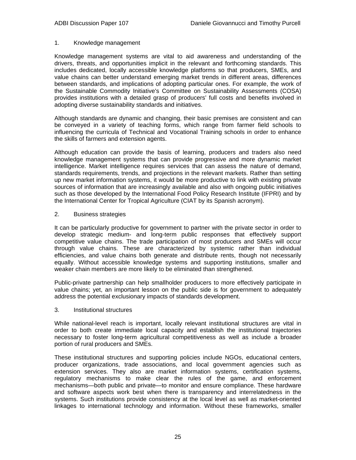## 1. Knowledge management

Knowledge management systems are vital to aid awareness and understanding of the drivers, threats, and opportunities implicit in the relevant and forthcoming standards. This includes dedicated, locally accessible knowledge platforms so that producers, SMEs, and value chains can better understand emerging market trends in different areas, differences between standards, and implications of adopting particular ones. For example, the work of the Sustainable Commodity Initiative's Committee on Sustainability Assessments (COSA) provides institutions with a detailed grasp of producers' full costs and benefits involved in adopting diverse sustainability standards and initiatives.

Although standards are dynamic and changing, their basic premises are consistent and can be conveyed in a variety of teaching forms, which range from farmer field schools to influencing the curricula of Technical and Vocational Training schools in order to enhance the skills of farmers and extension agents.

Although education can provide the basis of learning, producers and traders also need knowledge management systems that can provide progressive and more dynamic market intelligence. Market intelligence requires services that can assess the nature of demand, standards requirements, trends, and projections in the relevant markets. Rather than setting up new market information systems, it would be more productive to link with existing private sources of information that are increasingly available and also with ongoing public initiatives such as those developed by the International Food Policy Research Institute (IFPRI) and by the International Center for Tropical Agriculture (CIAT by its Spanish acronym).

## 2. Business strategies

It can be particularly productive for government to partner with the private sector in order to develop strategic medium- and long-term public responses that effectively support competitive value chains. The trade participation of most producers and SMEs will occur through value chains. These are characterized by systemic rather than individual efficiencies, and value chains both generate and distribute rents, though not necessarily equally. Without accessible knowledge systems and supporting institutions, smaller and weaker chain members are more likely to be eliminated than strengthened.

Public-private partnership can help smallholder producers to more effectively participate in value chains; yet, an important lesson on the public side is for government to adequately address the potential exclusionary impacts of standards development.

#### 3. Institutional structures

While national-level reach is important, locally relevant institutional structures are vital in order to both create immediate local capacity and establish the institutional trajectories necessary to foster long-term agricultural competitiveness as well as include a broader portion of rural producers and SMEs.

These institutional structures and supporting policies include NGOs, educational centers, producer organizations, trade associations, and local government agencies such as extension services. They also are market information systems, certification systems, regulatory mechanisms to make clear the rules of the game, and enforcement mechanisms—both public and private—to monitor and ensure compliance. These hardware and software aspects work best when there is transparency and interrelatedness in the systems. Such institutions provide consistency at the local level as well as market-oriented linkages to international technology and information. Without these frameworks, smaller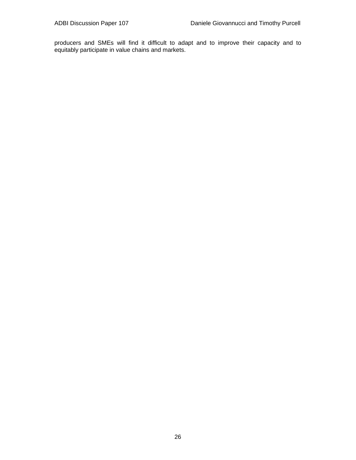producers and SMEs will find it difficult to adapt and to improve their capacity and to equitably participate in value chains and markets.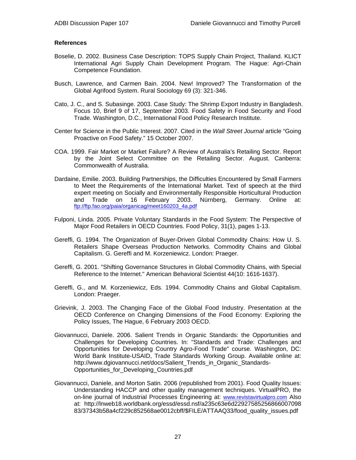## **References**

- Boselie, D. 2002. Business Case Description: TOPS Supply Chain Project, Thailand. KLICT International Agri Supply Chain Development Program. The Hague: Agri-Chain Competence Foundation.
- Busch, Lawrence, and Carmen Bain. 2004. New! Improved? The Transformation of the Global Agrifood System. Rural Sociology 69 (3): 321-346.
- Cato, J. C., and S. Subasinge. 2003. Case Study: The Shrimp Export Industry in Bangladesh. Focus 10, Brief 9 of 17, September 2003. Food Safety in Food Security and Food Trade. Washington, D.C., International Food Policy Research Institute.
- Center for Science in the Public Interest. 2007. Cited in the *Wall Street Journal* article "Going Proactive on Food Safety." 15 October 2007.
- COA. 1999. Fair Market or Market Failure? A Review of Australia's Retailing Sector. Report by the Joint Select Committee on the Retailing Sector. August. Canberra: Commonwealth of Australia.
- Dardaine, Emilie. 2003. Building Partnerships, the Difficulties Encountered by Small Farmers to Meet the Requirements of the International Market. Text of speech at the third expert meeting on Socially and Environmentally Responsible Horticultural Production and Trade on 16 February 2003. Nürnberg, Germany. Online at: ftp://ftp.fao.org/paia/organicag/meet160203\_4a.pdf
- Fulponi, Linda. 2005. Private Voluntary Standards in the Food System: The Perspective of Major Food Retailers in OECD Countries. Food Policy, 31(1), pages 1-13.
- Gereffi, G. 1994. The Organization of Buyer-Driven Global Commodity Chains: How U. S. Retailers Shape Overseas Production Networks. Commodity Chains and Global Capitalism. G. Gereffi and M. Korzeniewicz. London: Praeger.
- Gereffi, G. 2001. "Shifting Governance Structures in Global Commodity Chains, with Special Reference to the Internet." American Behavioral Scientist 44(10: 1616-1637).
- Gereffi, G., and M. Korzeniewicz, Eds. 1994. Commodity Chains and Global Capitalism. London: Praeger.
- Grievink, J. 2003. The Changing Face of the Global Food Industry. Presentation at the OECD Conference on Changing Dimensions of the Food Economy: Exploring the Policy Issues, The Hague, 6 February 2003 OECD.
- Giovannucci, Daniele. 2006. Salient Trends in Organic Standards: the Opportunities and Challenges for Developing Countries. In: "Standards and Trade: Challenges and Opportunities for Developing Country Agro-Food Trade" course. Washington, DC: World Bank Institute-USAID, Trade Standards Working Group. Available online at: http://www.dgiovannucci.net/docs/Salient\_Trends\_in\_Organic\_Standards-Opportunities\_for\_Developing\_Countries.pdf
- Giovannucci, Daniele, and Morton Satin. 2006 (republished from 2001). Food Quality Issues: Understanding HACCP and other quality management techniques. VirtualPRO, the on-line journal of Industrial Processes Engineering at: www.revistavirtualpro.com Also at: http://lnweb18.worldbank.org/essd/essd.nsf/a235c63e6d22927585256866007098 83/37343b58a4cf229c852568ae0012cbff/\$FILE/ATTAAQ33/food\_quality\_issues.pdf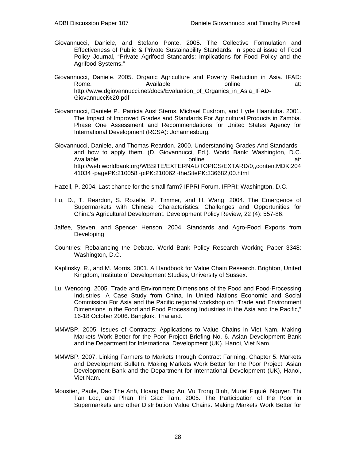- Giovannucci, Daniele, and Stefano Ponte. 2005. The Collective Formulation and Effectiveness of Public & Private Sustainability Standards: In special issue of Food Policy Journal, "Private Agrifood Standards: Implications for Food Policy and the Agrifood Systems."
- Giovannucci, Daniele. 2005. Organic Agriculture and Poverty Reduction in Asia. IFAD: Rome. Available online at: http://www.dgiovannucci.net/docs/Evaluation\_of\_Organics\_in\_Asia\_IFAD-Giovannucci%20.pdf
- Giovannucci, Daniele P., Patricia Aust Sterns, Michael Eustrom, and Hyde Haantuba. 2001. The Impact of Improved Grades and Standards For Agricultural Products in Zambia. Phase One Assessment and Recommendations for United States Agency for International Development (RCSA): Johannesburg.
- Giovannucci, Daniele, and Thomas Reardon. 2000. Understanding Grades And Standards and how to apply them. (D. Giovannucci, Ed.). World Bank: Washington, D.C. Available online at: http://web.worldbank.org/WBSITE/EXTERNAL/TOPICS/EXTARD/0,,contentMDK:204 41034~pagePK:210058~piPK:210062~theSitePK:336682,00.html

Hazell, P. 2004. Last chance for the small farm? IFPRI Forum. IFPRI: Washington, D.C.

- Hu, D., T. Reardon, S. Rozelle, P. Timmer, and H. Wang. 2004. The Emergence of Supermarkets with Chinese Characteristics: Challenges and Opportunities for China's Agricultural Development. Development Policy Review, 22 (4): 557-86.
- Jaffee, Steven, and Spencer Henson. 2004. Standards and Agro-Food Exports from Developing
- Countries: Rebalancing the Debate. World Bank Policy Research Working Paper 3348: Washington, D.C.
- Kaplinsky, R., and M. Morris. 2001. A Handbook for Value Chain Research. Brighton, United Kingdom, Institute of Development Studies, University of Sussex.
- Lu, Wencong. 2005. Trade and Environment Dimensions of the Food and Food-Processing Industries: A Case Study from China. In United Nations Economic and Social Commission For Asia and the Pacific regional workshop on "Trade and Environment Dimensions in the Food and Food Processing Industries in the Asia and the Pacific," 16-18 October 2006. Bangkok, Thailand.
- MMWBP. 2005. Issues of Contracts: Applications to Value Chains in Viet Nam. Making Markets Work Better for the Poor Project Briefing No. 6. Asian Development Bank and the Department for International Development (UK). Hanoi, Viet Nam.
- MMWBP. 2007. Linking Farmers to Markets through Contract Farming. Chapter 5. Markets and Development Bulletin. Making Markets Work Better for the Poor Project, Asian Development Bank and the Department for International Development (UK), Hanoi, Viet Nam.
- Moustier, Paule, Dao The Anh, Hoang Bang An, Vu Trong Binh, Muriel Figuié, Nguyen Thi Tan Loc, and Phan Thi Giac Tam. 2005. The Participation of the Poor in Supermarkets and other Distribution Value Chains. Making Markets Work Better for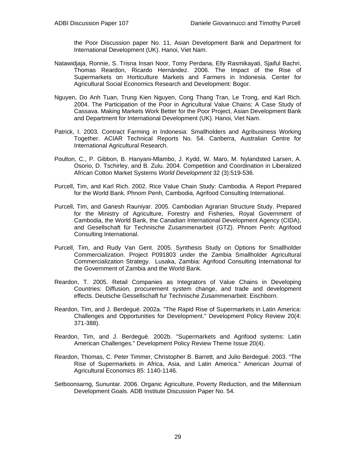the Poor Discussion paper No. 11, Asian Development Bank and Department for International Development (UK). Hanoi, Viet Nam.

- Natawidjaja, Ronnie, S. Trisna Insan Noor, Tomy Perdana, Elly Rasmikayati, Sjaiful Bachri, Thomas Reardon, Ricardo Hernàndez. 2006. The Impact of the Rise of Supermarkets on Horticulture Markets and Farmers in Indonesia. Center for Agricultural Social Economics Research and Development: Bogor.
- Nguyen, Do Anh Tuan, Trung Kien Nguyen, Cong Thang Tran, Le Trong, and Karl Rich. 2004. The Participation of the Poor in Agricultural Value Chains: A Case Study of Cassava. Making Markets Work Better for the Poor Project, Asian Development Bank and Department for International Development (UK). Hanoi, Viet Nam.
- Patrick, I. 2003. Contract Farming in Indonesia: Smallholders and Agribusiness Working Together. ACIAR Technical Reports No. 54. Canberra, Australian Centre for International Agricultural Research.
- Poulton, C., P. Gibbon, B. Hanyani-Mlambo, J. Kydd, W. Maro, M. Nylandsted Larsen, A. Osorio, D. Tschirley, and B. Zulu. 2004. Competition and Coordination in Liberalized African Cotton Market Systems *World Development* 32 (3):519-536.
- Purcell, Tim, and Karl Rich. 2002. Rice Value Chain Study: Cambodia. A Report Prepared for the World Bank. Phnom Penh, Cambodia, Agrifood Consulting International.
- Purcell, Tim, and Ganesh Rauniyar. 2005. Cambodian Agrarian Structure Study. Prepared for the Ministry of Agriculture, Forestry and Fisheries, Royal Government of Cambodia, the World Bank, the Canadian International Development Agency (CIDA), and Gesellschaft für Technische Zusammenarbeit (GTZ). Phnom Penh: Agrifood Consulting International.
- Purcell, Tim, and Rudy Van Gent. 2005. Synthesis Study on Options for Smallholder Commercialization. Project P091803 under the Zambia Smallholder Agricultural Commercialization Strategy. Lusaka, Zambia: Agrifood Consulting International for the Government of Zambia and the World Bank.
- Reardon, T. 2005. Retail Companies as Integrators of Value Chains in Developing Countries: Diffusion, procurement system change, and trade and development effects. Deutsche Gessellschaft fur Technische Zusammenarbeit: Eischborn.
- Reardon, Tim, and J. Berdegué. 2002a. "The Rapid Rise of Supermarkets in Latin America: Challenges and Opportunities for Development." Development Policy Review 20(4: 371-388).
- Reardon, Tim, and J. Berdegué. 2002b. "Supermarkets and Agrifood systems: Latin American Challenges." Development Policy Review Theme Issue 20(4).
- Reardon, Thomas, C. Peter Timmer, Christopher B. Barrett, and Julio Berdegué. 2003. "The Rise of Supermarkets in Africa, Asia, and Latin America." American Journal of Agricultural Economics 85: 1140-1146.
- Setboonsarng, Sununtar. 2006. Organic Agriculture, Poverty Reduction, and the Millennium Development Goals. ADB Institute Discussion Paper No. 54.